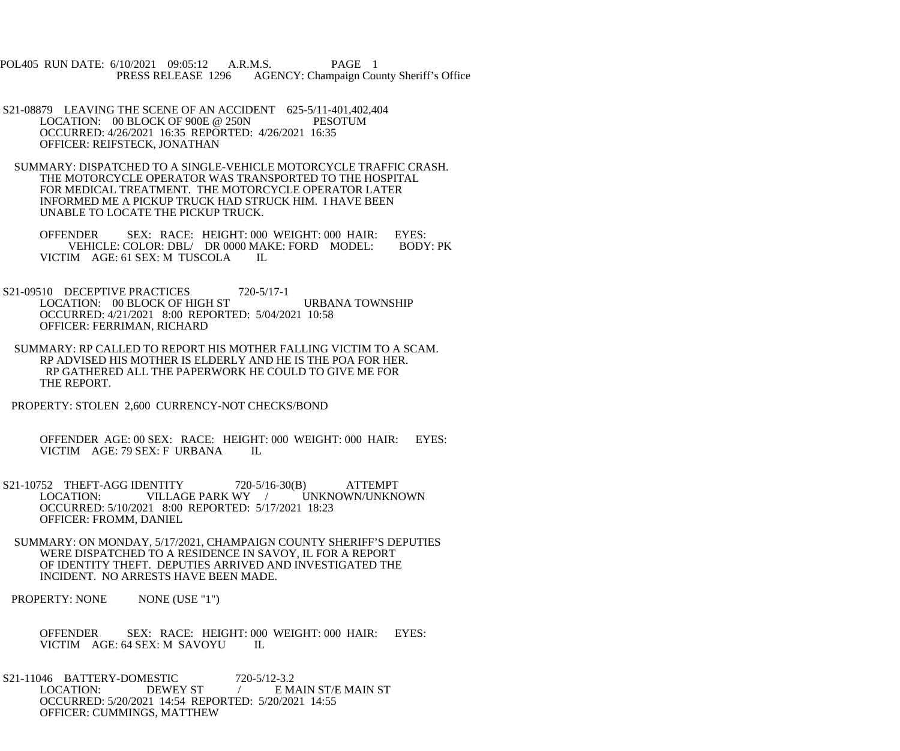POL405 RUN DATE: 6/10/2021 09:05:12 A.R.M.S. PAGE 1<br>PRESS RELEASE 1296 AGENCY: Champaign Cou AGENCY: Champaign County Sheriff's Office

- S21-08879 LEAVING THE SCENE OF AN ACCIDENT 625-5/11-401,402,404<br>LOCATION: 00 BLOCK OF 900E @ 250N PESOTUM LOCATION:  $00$  BLOCK OF 900E @ 250N OCCURRED: 4/26/2021 16:35 REPORTED: 4/26/2021 16:35 OFFICER: REIFSTECK, JONATHAN
- SUMMARY: DISPATCHED TO A SINGLE-VEHICLE MOTORCYCLE TRAFFIC CRASH. THE MOTORCYCLE OPERATOR WAS TRANSPORTED TO THE HOSPITAL FOR MEDICAL TREATMENT. THE MOTORCYCLE OPERATOR LATER INFORMED ME A PICKUP TRUCK HAD STRUCK HIM. I HAVE BEEN UNABLE TO LOCATE THE PICKUP TRUCK.

OFFENDER SEX: RACE: HEIGHT: 000 WEIGHT: 000 HAIR: EYES:<br>VEHICLE: COLOR: DBL/ DR 0000 MAKE: FORD MODEL: BODY: PK VEHICLE: COLOR: DBL/ DR 0000 MAKE: FORD MODEL: VICTIM AGE: 61 SEX: M TUSCOLA IL

- S21-09510 DECEPTIVE PRACTICES 720-5/17-1 LOCATION: 00 BLOCK OF HIGH ST URBANA TOWNSHIP OCCURRED: 4/21/2021 8:00 REPORTED: 5/04/2021 10:58 OFFICER: FERRIMAN, RICHARD
- SUMMARY: RP CALLED TO REPORT HIS MOTHER FALLING VICTIM TO A SCAM. RP ADVISED HIS MOTHER IS ELDERLY AND HE IS THE POA FOR HER. RP GATHERED ALL THE PAPERWORK HE COULD TO GIVE ME FOR THE REPORT.
- PROPERTY: STOLEN 2,600 CURRENCY-NOT CHECKS/BOND

 OFFENDER AGE: 00 SEX: RACE: HEIGHT: 000 WEIGHT: 000 HAIR: EYES: VICTIM AGE: 79 SEX: F URBANA IL

- S21-10752 THEFT-AGG IDENTITY 720-5/16-30(B) ATTEMPT<br>LOCATION: VILLAGE PARK WY / UNKNOWN/UNKNOWN VILLAGE PARK WY / OCCURRED: 5/10/2021 8:00 REPORTED: 5/17/2021 18:23 OFFICER: FROMM, DANIEL
- SUMMARY: ON MONDAY, 5/17/2021, CHAMPAIGN COUNTY SHERIFF'S DEPUTIES WERE DISPATCHED TO A RESIDENCE IN SAVOY, IL FOR A REPORT OF IDENTITY THEFT. DEPUTIES ARRIVED AND INVESTIGATED THE INCIDENT. NO ARRESTS HAVE BEEN MADE.

PROPERTY: NONE NONE (USE "1")

- OFFENDER SEX: RACE: HEIGHT: 000 WEIGHT: 000 HAIR: EYES: VICTIM AGE: 64 SEX: M SAVOYU IL
- S21-11046 BATTERY-DOMESTIC 720-5/12-3.2<br>LOCATION: DEWEY ST / EM / E MAIN ST/E MAIN ST OCCURRED: 5/20/2021 14:54 REPORTED: 5/20/2021 14:55 OFFICER: CUMMINGS, MATTHEW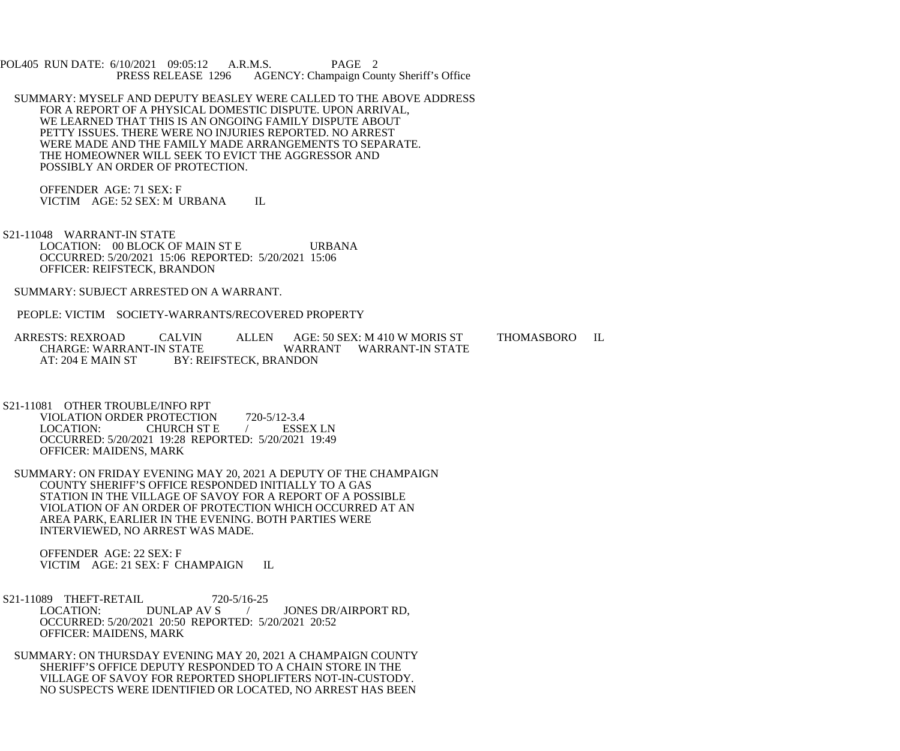POL405 RUN DATE: 6/10/2021 09:05:12 A.R.M.S. PAGE 2<br>PRESS RELEASE 1296 AGENCY: Champaign Cou AGENCY: Champaign County Sheriff's Office

 SUMMARY: MYSELF AND DEPUTY BEASLEY WERE CALLED TO THE ABOVE ADDRESS FOR A REPORT OF A PHYSICAL DOMESTIC DISPUTE. UPON ARRIVAL, WE LEARNED THAT THIS IS AN ONGOING FAMILY DISPUTE ABOUT PETTY ISSUES. THERE WERE NO INJURIES REPORTED. NO ARREST WERE MADE AND THE FAMILY MADE ARRANGEMENTS TO SEPARATE. THE HOMEOWNER WILL SEEK TO EVICT THE AGGRESSOR AND POSSIBLY AN ORDER OF PROTECTION.

 OFFENDER AGE: 71 SEX: F VICTIM AGE: 52 SEX: M URBANA IL

 S21-11048 WARRANT-IN STATE LOCATION: 00 BLOCK OF MAIN ST E URBANA OCCURRED: 5/20/2021 15:06 REPORTED: 5/20/2021 15:06 OFFICER: REIFSTECK, BRANDON

SUMMARY: SUBJECT ARRESTED ON A WARRANT.

PEOPLE: VICTIM SOCIETY-WARRANTS/RECOVERED PROPERTY

- ARRESTS: REXROAD CALVIN ALLEN AGE: 50 SEX: M 410 W MORIS ST THOMASBORO IL<br>CHARGE: WARRANT-IN STATE WARRANT WARRANT-IN STATE CHARGE: WARRANT-IN STATE WARRANT WARRANT-IN STATE<br>AT: 204 E MAIN ST BY: REIFSTECK. BRANDON BY: REIFSTECK, BRANDON
- S21-11081 OTHER TROUBLE/INFO RPT VIOLATION ORDER PROTECTION 720-5/12-3.4<br>LOCATION: CHURCH ST E CHURCH ST E / ESSEX LN OCCURRED: 5/20/2021 19:28 REPORTED: 5/20/2021 19:49 OFFICER: MAIDENS, MARK
- SUMMARY: ON FRIDAY EVENING MAY 20, 2021 A DEPUTY OF THE CHAMPAIGN COUNTY SHERIFF'S OFFICE RESPONDED INITIALLY TO A GAS STATION IN THE VILLAGE OF SAVOY FOR A REPORT OF A POSSIBLE VIOLATION OF AN ORDER OF PROTECTION WHICH OCCURRED AT AN AREA PARK, EARLIER IN THE EVENING. BOTH PARTIES WERE INTERVIEWED, NO ARREST WAS MADE.

 OFFENDER AGE: 22 SEX: F VICTIM AGE: 21 SEX: F CHAMPAIGN IL

- S21-11089 THEFT-RETAIL 720-5/16-25<br>LOCATION: DUNLAP AV S JONES DR/AIRPORT RD, OCCURRED: 5/20/2021 20:50 REPORTED: 5/20/2021 20:52 OFFICER: MAIDENS, MARK
- SUMMARY: ON THURSDAY EVENING MAY 20, 2021 A CHAMPAIGN COUNTY SHERIFF'S OFFICE DEPUTY RESPONDED TO A CHAIN STORE IN THE VILLAGE OF SAVOY FOR REPORTED SHOPLIFTERS NOT-IN-CUSTODY. NO SUSPECTS WERE IDENTIFIED OR LOCATED, NO ARREST HAS BEEN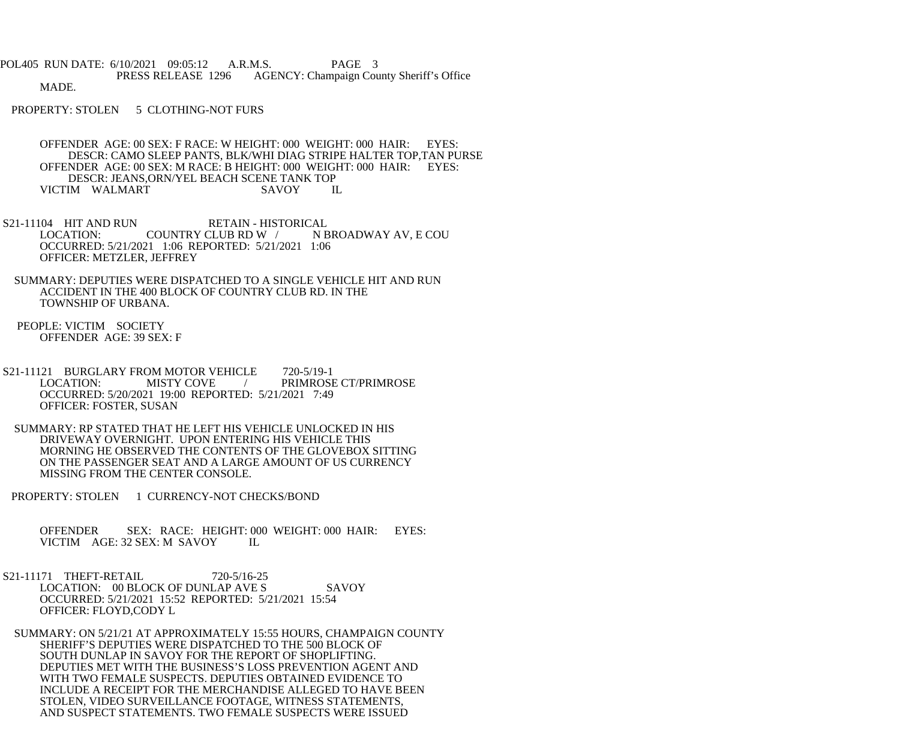POL405 RUN DATE: 6/10/2021 09:05:12 A.R.M.S. PAGE 3 PRESS RELEASE 1296 AGENCY: Champaign County Sheriff's Office MADE.

PROPERTY: STOLEN 5 CLOTHING-NOT FURS

 OFFENDER AGE: 00 SEX: F RACE: W HEIGHT: 000 WEIGHT: 000 HAIR: EYES: DESCR: CAMO SLEEP PANTS, BLK/WHI DIAG STRIPE HALTER TOP,TAN PURSE OFFENDER AGE: 00 SEX: M RACE: B HEIGHT: 000 WEIGHT: 000 HAIR: EYES: DESCR: JEANS,ORN/YEL BEACH SCENE TANK TOP<br>IM WALMART SAVOY IL VICTIM WALMART

S21-11104 HIT AND RUN RETAIN - HISTORICAL<br>LOCATION: COUNTRY CLUB RD W / N BROADWAY AV, E COU COUNTRY CLUB RD W / OCCURRED: 5/21/2021 1:06 REPORTED: 5/21/2021 1:06 OFFICER: METZLER, JEFFREY

 SUMMARY: DEPUTIES WERE DISPATCHED TO A SINGLE VEHICLE HIT AND RUN ACCIDENT IN THE 400 BLOCK OF COUNTRY CLUB RD. IN THE TOWNSHIP OF URBANA.

 PEOPLE: VICTIM SOCIETY OFFENDER AGE: 39 SEX: F

 S21-11121 BURGLARY FROM MOTOR VEHICLE 720-5/19-1 LOCATION: MISTY COVE / PRIMROSE CT/PRIMROSE OCCURRED: 5/20/2021 19:00 REPORTED: 5/21/2021 7:49 OFFICER: FOSTER, SUSAN

 SUMMARY: RP STATED THAT HE LEFT HIS VEHICLE UNLOCKED IN HIS DRIVEWAY OVERNIGHT. UPON ENTERING HIS VEHICLE THIS MORNING HE OBSERVED THE CONTENTS OF THE GLOVEBOX SITTING ON THE PASSENGER SEAT AND A LARGE AMOUNT OF US CURRENCY MISSING FROM THE CENTER CONSOLE.

PROPERTY: STOLEN 1 CURRENCY-NOT CHECKS/BOND

 OFFENDER SEX: RACE: HEIGHT: 000 WEIGHT: 000 HAIR: EYES: VICTIM AGE: 32 SEX: M SAVOY IL

 S21-11171 THEFT-RETAIL 720-5/16-25 LOCATION: 00 BLOCK OF DUNLAP AVE S SAVOY OCCURRED: 5/21/2021 15:52 REPORTED: 5/21/2021 15:54 OFFICER: FLOYD,CODY L

 SUMMARY: ON 5/21/21 AT APPROXIMATELY 15:55 HOURS, CHAMPAIGN COUNTY SHERIFF'S DEPUTIES WERE DISPATCHED TO THE 500 BLOCK OF SOUTH DUNLAP IN SAVOY FOR THE REPORT OF SHOPLIFTING. DEPUTIES MET WITH THE BUSINESS'S LOSS PREVENTION AGENT AND WITH TWO FEMALE SUSPECTS. DEPUTIES OBTAINED EVIDENCE TO INCLUDE A RECEIPT FOR THE MERCHANDISE ALLEGED TO HAVE BEEN STOLEN, VIDEO SURVEILLANCE FOOTAGE, WITNESS STATEMENTS, AND SUSPECT STATEMENTS. TWO FEMALE SUSPECTS WERE ISSUED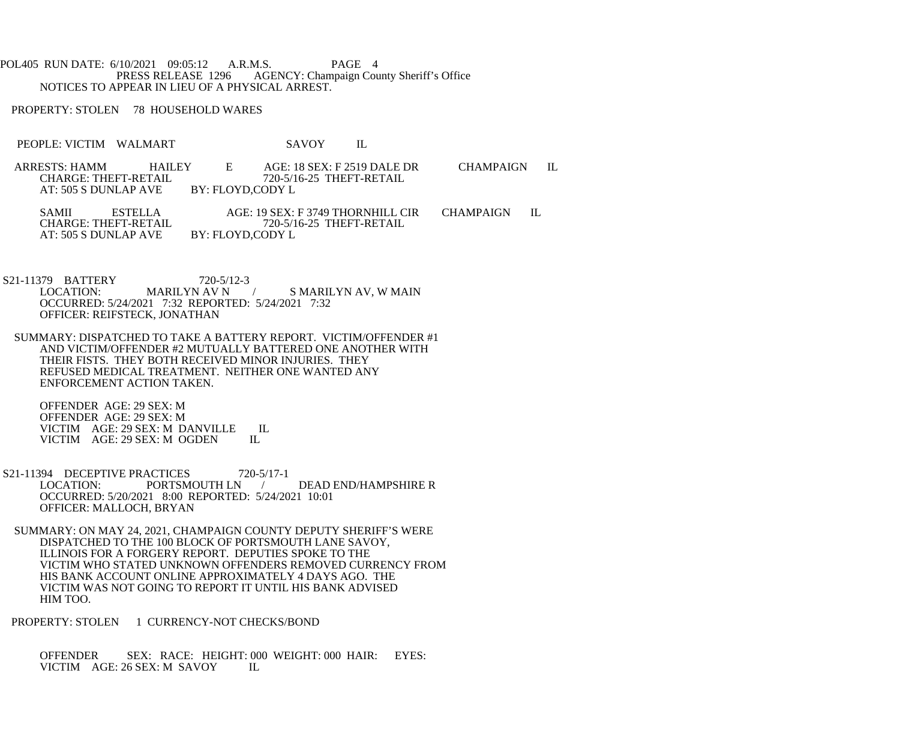POL405 RUN DATE: 6/10/2021 09:05:12 A.R.M.S. PAGE 4<br>PRESS RELEASE 1296 AGENCY: Champaign Cou AGENCY: Champaign County Sheriff's Office NOTICES TO APPEAR IN LIEU OF A PHYSICAL ARREST.

PROPERTY: STOLEN 78 HOUSEHOLD WARES

- PEOPLE: VICTIM WALMART SAVOY IL
- ARRESTS: HAMM HAILEY E AGE: 18 SEX: F 2519 DALE DR CHAMPAIGN IL 720-5/16-25 THEFT-RETAIL<br>BY: FLOYD.CODY L AT: 505 S DUNLAP AVE

SAMII ESTELLA AGE: 19 SEX: F 3749 THORNHILL CIR CHAMPAIGN IL CHARGE: THEFT-RETAIL  $720-5/16-25$  THEFT-RETAIL  $720-5/16-25$  THEFT-RETAIL BY: FLOYD,CODY L AT: 505 S DUNLAP AVE

- S21-11379 BATTERY 720-5/12-3<br>LOCATION: MARILYN AV N / S MARILYN AV, W MAIN OCCURRED: 5/24/2021 7:32 REPORTED: 5/24/2021 7:32 OFFICER: REIFSTECK, JONATHAN
- SUMMARY: DISPATCHED TO TAKE A BATTERY REPORT. VICTIM/OFFENDER #1 AND VICTIM/OFFENDER #2 MUTUALLY BATTERED ONE ANOTHER WITH THEIR FISTS. THEY BOTH RECEIVED MINOR INJURIES. THEY REFUSED MEDICAL TREATMENT. NEITHER ONE WANTED ANY ENFORCEMENT ACTION TAKEN.

 OFFENDER AGE: 29 SEX: M OFFENDER AGE: 29 SEX: M VICTIM AGE: 29 SEX: M DANVILLE IL<br>VICTIM AGE: 29 SEX: M OGDEN IL VICTIM AGE: 29 SEX: M OGDEN

- S21-11394 DECEPTIVE PRACTICES 720-5/17-1<br>LOCATION: PORTSMOUTH LN DEAD END/HAMPSHIRE R OCCURRED: 5/20/2021 8:00 REPORTED: 5/24/2021 10:01 OFFICER: MALLOCH, BRYAN
	- SUMMARY: ON MAY 24, 2021, CHAMPAIGN COUNTY DEPUTY SHERIFF'S WERE DISPATCHED TO THE 100 BLOCK OF PORTSMOUTH LANE SAVOY, ILLINOIS FOR A FORGERY REPORT. DEPUTIES SPOKE TO THE VICTIM WHO STATED UNKNOWN OFFENDERS REMOVED CURRENCY FROM HIS BANK ACCOUNT ONLINE APPROXIMATELY 4 DAYS AGO. THE VICTIM WAS NOT GOING TO REPORT IT UNTIL HIS BANK ADVISED HIM TOO.

PROPERTY: STOLEN 1 CURRENCY-NOT CHECKS/BOND

 OFFENDER SEX: RACE: HEIGHT: 000 WEIGHT: 000 HAIR: EYES: VICTIM AGE: 26 SEX: M SAVOY IL